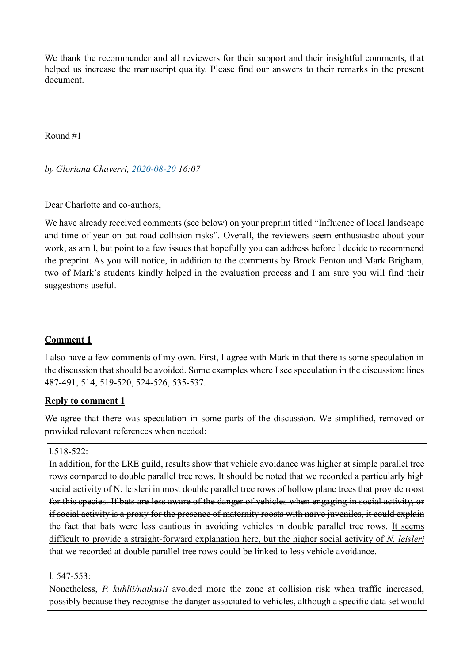We thank the recommender and all reviewers for their support and their insightful comments, that helped us increase the manuscript quality. Please find our answers to their remarks in the present document.

Round #1

*by Gloriana Chaverri, 2020-08-20 16:07*

Dear Charlotte and co-authors,

We have already received comments (see below) on your preprint titled "Influence of local landscape and time of year on bat-road collision risks". Overall, the reviewers seem enthusiastic about your work, as am I, but point to a few issues that hopefully you can address before I decide to recommend the preprint. As you will notice, in addition to the comments by Brock Fenton and Mark Brigham, two of Mark's students kindly helped in the evaluation process and I am sure you will find their suggestions useful.

## **Comment 1**

I also have a few comments of my own. First, I agree with Mark in that there is some speculation in the discussion that should be avoided. Some examples where I see speculation in the discussion: lines 487-491, 514, 519-520, 524-526, 535-537.

### **Reply to comment 1**

We agree that there was speculation in some parts of the discussion. We simplified, removed or provided relevant references when needed:

### l.518-522:

In addition, for the LRE guild, results show that vehicle avoidance was higher at simple parallel tree rows compared to double parallel tree rows. It should be noted that we recorded a particularly high social activity of N. leisleri in most double parallel tree rows of hollow plane trees that provide roost for this species. If bats are less aware of the danger of vehicles when engaging in social activity, or if social activity is a proxy for the presence of maternity roosts with naïve juveniles, it could explain the fact that bats were less cautious in avoiding vehicles in double parallel tree rows. It seems difficult to provide a straight-forward explanation here, but the higher social activity of *N. leisleri* that we recorded at double parallel tree rows could be linked to less vehicle avoidance.

### $1.547 - 553$

Nonetheless, *P. kuhlii/nathusii* avoided more the zone at collision risk when traffic increased, possibly because they recognise the danger associated to vehicles, although a specific data set would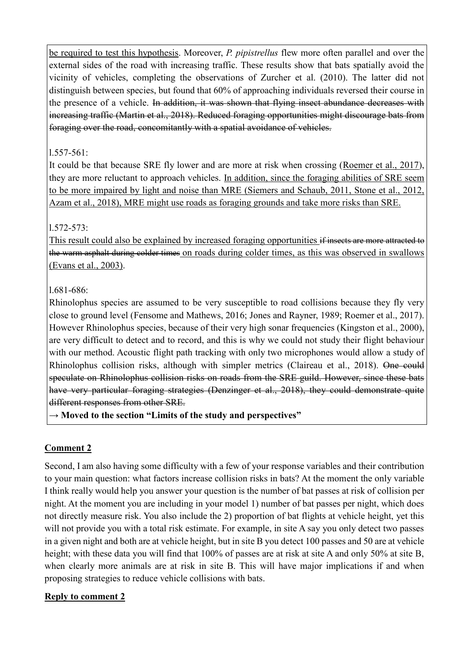be required to test this hypothesis. Moreover, *P. pipistrellus* flew more often parallel and over the external sides of the road with increasing traffic. These results show that bats spatially avoid the vicinity of vehicles, completing the observations of Zurcher et al. (2010). The latter did not distinguish between species, but found that 60% of approaching individuals reversed their course in the presence of a vehicle. In addition, it was shown that flying insect abundance decreases with increasing traffic (Martin et al., 2018). Reduced foraging opportunities might discourage bats from foraging over the road, concomitantly with a spatial avoidance of vehicles.

## l.557-561:

It could be that because SRE fly lower and are more at risk when crossing (Roemer et al., 2017), they are more reluctant to approach vehicles. In addition, since the foraging abilities of SRE seem to be more impaired by light and noise than MRE (Siemers and Schaub, 2011, Stone et al., 2012, Azam et al., 2018), MRE might use roads as foraging grounds and take more risks than SRE.

# l.572-573:

This result could also be explained by increased foraging opportunities if insects are more attracted to the warm asphalt during colder times on roads during colder times, as this was observed in swallows (Evans et al., 2003).

# l.681-686:

Rhinolophus species are assumed to be very susceptible to road collisions because they fly very close to ground level (Fensome and Mathews, 2016; Jones and Rayner, 1989; Roemer et al., 2017). However Rhinolophus species, because of their very high sonar frequencies (Kingston et al., 2000), are very difficult to detect and to record, and this is why we could not study their flight behaviour with our method. Acoustic flight path tracking with only two microphones would allow a study of Rhinolophus collision risks, although with simpler metrics (Claireau et al., 2018). One could speculate on Rhinolophus collision risks on roads from the SRE guild. However, since these bats have very particular foraging strategies (Denzinger et al., 2018), they could demonstrate quite different responses from other SRE.

**→ Moved to the section "Limits of the study and perspectives"**

# **Comment 2**

Second, I am also having some difficulty with a few of your response variables and their contribution to your main question: what factors increase collision risks in bats? At the moment the only variable I think really would help you answer your question is the number of bat passes at risk of collision per night. At the moment you are including in your model 1) number of bat passes per night, which does not directly measure risk. You also include the 2) proportion of bat flights at vehicle height, yet this will not provide you with a total risk estimate. For example, in site A say you only detect two passes in a given night and both are at vehicle height, but in site B you detect 100 passes and 50 are at vehicle height; with these data you will find that 100% of passes are at risk at site A and only 50% at site B, when clearly more animals are at risk in site B. This will have major implications if and when proposing strategies to reduce vehicle collisions with bats.

## **Reply to comment 2**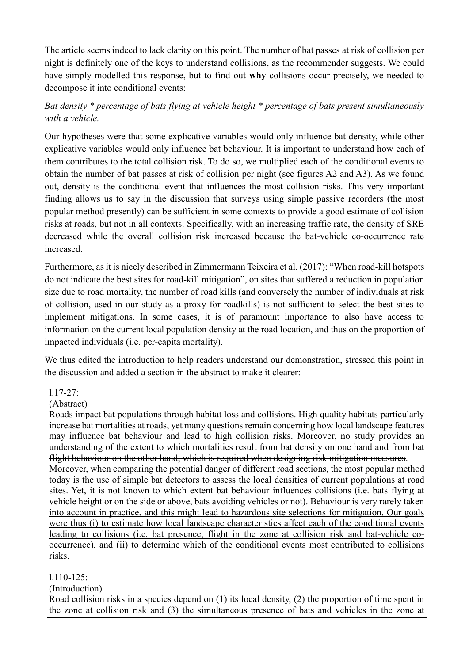The article seems indeed to lack clarity on this point. The number of bat passes at risk of collision per night is definitely one of the keys to understand collisions, as the recommender suggests. We could have simply modelled this response, but to find out **why** collisions occur precisely, we needed to decompose it into conditional events:

# *Bat density \* percentage of bats flying at vehicle height \* percentage of bats present simultaneously with a vehicle.*

Our hypotheses were that some explicative variables would only influence bat density, while other explicative variables would only influence bat behaviour. It is important to understand how each of them contributes to the total collision risk. To do so, we multiplied each of the conditional events to obtain the number of bat passes at risk of collision per night (see figures A2 and A3). As we found out, density is the conditional event that influences the most collision risks. This very important finding allows us to say in the discussion that surveys using simple passive recorders (the most popular method presently) can be sufficient in some contexts to provide a good estimate of collision risks at roads, but not in all contexts. Specifically, with an increasing traffic rate, the density of SRE decreased while the overall collision risk increased because the bat-vehicle co-occurrence rate increased.

Furthermore, as it is nicely described in Zimmermann Teixeira et al. (2017): "When road-kill hotspots do not indicate the best sites for road-kill mitigation", on sites that suffered a reduction in population size due to road mortality, the number of road kills (and conversely the number of individuals at risk of collision, used in our study as a proxy for roadkills) is not sufficient to select the best sites to implement mitigations. In some cases, it is of paramount importance to also have access to information on the current local population density at the road location, and thus on the proportion of impacted individuals (i.e. per-capita mortality).

We thus edited the introduction to help readers understand our demonstration, stressed this point in the discussion and added a section in the abstract to make it clearer:

l.17-27:

(Abstract)

Roads impact bat populations through habitat loss and collisions. High quality habitats particularly increase bat mortalities at roads, yet many questions remain concerning how local landscape features may influence bat behaviour and lead to high collision risks. Moreover, no study provides an understanding of the extent to which mortalities result from bat density on one hand and from bat flight behaviour on the other hand, which is required when designing risk mitigation measures. Moreover, when comparing the potential danger of different road sections, the most popular method today is the use of simple bat detectors to assess the local densities of current populations at road sites. Yet, it is not known to which extent bat behaviour influences collisions (i.e. bats flying at vehicle height or on the side or above, bats avoiding vehicles or not). Behaviour is very rarely taken into account in practice, and this might lead to hazardous site selections for mitigation. Our goals were thus (i) to estimate how local landscape characteristics affect each of the conditional events leading to collisions (i.e. bat presence, flight in the zone at collision risk and bat-vehicle cooccurrence), and (ii) to determine which of the conditional events most contributed to collisions risks.

## l.110-125:

(Introduction)

Road collision risks in a species depend on (1) its local density, (2) the proportion of time spent in the zone at collision risk and (3) the simultaneous presence of bats and vehicles in the zone at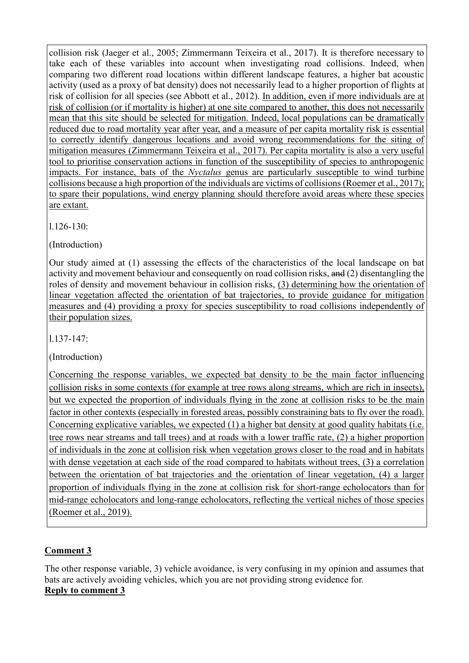collision risk (Jaeger et al., 2005; Zimmermann Teixeira et al., 2017). It is therefore necessary to take each of these variables into account when investigating road collisions. Indeed, when comparing two different road locations within different landscape features, a higher bat acoustic activity (used as a proxy of bat density) does not necessarily lead to a higher proportion of flights at risk of collision for all species (see Abbott et al., 2012). In addition, even if more individuals are at risk of collision (or if mortality is higher) at one site compared to another, this does not necessarily mean that this site should be selected for mitigation. Indeed, local populations can be dramatically reduced due to road mortality year after year, and a measure of per capita mortality risk is essential to correctly identify dangerous locations and avoid wrong recommendations for the siting of mitigation measures (Zimmermann Teixeira et al., 2017). Per capita mortality is also a very useful tool to prioritise conservation actions in function of the susceptibility of species to anthropogenic impacts. For instance, bats of the *Nyctalus* genus are particularly susceptible to wind turbine collisions because a high proportion of the individuals are victims of collisions (Roemer et al., 2017); to spare their populations, wind energy planning should therefore avoid areas where these species are extant.

l.126-130:

(Introduction)

Our study aimed at (1) assessing the effects of the characteristics of the local landscape on bat activity and movement behaviour and consequently on road collision risks, and (2) disentangling the roles of density and movement behaviour in collision risks, (3) determining how the orientation of linear vegetation affected the orientation of bat trajectories, to provide guidance for mitigation measures and (4) providing a proxy for species susceptibility to road collisions independently of their population sizes.

l.137-147:

(Introduction)

Concerning the response variables, we expected bat density to be the main factor influencing collision risks in some contexts (for example at tree rows along streams, which are rich in insects), but we expected the proportion of individuals flying in the zone at collision risks to be the main factor in other contexts (especially in forested areas, possibly constraining bats to fly over the road). Concerning explicative variables, we expected (1) a higher bat density at good quality habitats (i.e. tree rows near streams and tall trees) and at roads with a lower traffic rate, (2) a higher proportion of individuals in the zone at collision risk when vegetation grows closer to the road and in habitats with dense vegetation at each side of the road compared to habitats without trees, (3) a correlation between the orientation of bat trajectories and the orientation of linear vegetation, (4) a larger proportion of individuals flying in the zone at collision risk for short-range echolocators than for mid-range echolocators and long-range echolocators, reflecting the vertical niches of those species (Roemer et al., 2019).

## **Comment 3**

The other response variable, 3) vehicle avoidance, is very confusing in my opinion and assumes that bats are actively avoiding vehicles, which you are not providing strong evidence for. **Reply to comment 3**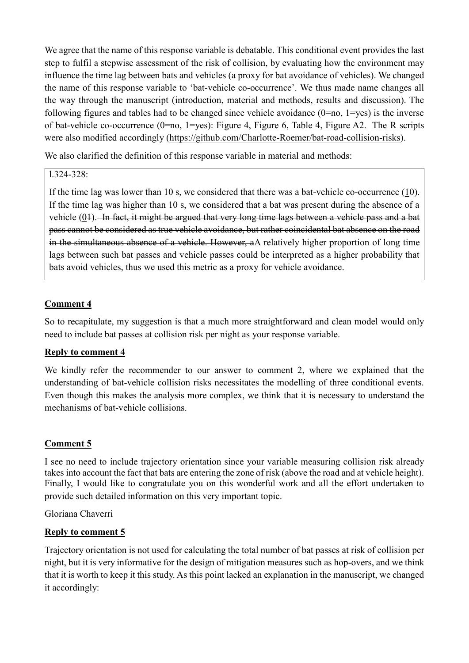We agree that the name of this response variable is debatable. This conditional event provides the last step to fulfil a stepwise assessment of the risk of collision, by evaluating how the environment may influence the time lag between bats and vehicles (a proxy for bat avoidance of vehicles). We changed the name of this response variable to 'bat-vehicle co-occurrence'. We thus made name changes all the way through the manuscript (introduction, material and methods, results and discussion). The following figures and tables had to be changed since vehicle avoidance  $(0=no, 1=yes)$  is the inverse of bat-vehicle co-occurrence (0=no, 1=yes): Figure 4, Figure 6, Table 4, Figure A2. The R scripts were also modified accordingly [\(https://github.com/Charlotte-Roemer/bat-road-collision-risks\)](https://github.com/Charlotte-Roemer/bat-road-collision-risks).

We also clarified the definition of this response variable in material and methods:

## l.324-328:

If the time lag was lower than 10 s, we considered that there was a bat-vehicle co-occurrence  $(1\theta)$ . If the time lag was higher than 10 s, we considered that a bat was present during the absence of a vehicle (01). In fact, it might be argued that very long time lags between a vehicle pass and a bat pass cannot be considered as true vehicle avoidance, but rather coincidental bat absence on the road in the simultaneous absence of a vehicle. However, aA relatively higher proportion of long time lags between such bat passes and vehicle passes could be interpreted as a higher probability that bats avoid vehicles, thus we used this metric as a proxy for vehicle avoidance.

# **Comment 4**

So to recapitulate, my suggestion is that a much more straightforward and clean model would only need to include bat passes at collision risk per night as your response variable.

## **Reply to comment 4**

We kindly refer the recommender to our answer to comment 2, where we explained that the understanding of bat-vehicle collision risks necessitates the modelling of three conditional events. Even though this makes the analysis more complex, we think that it is necessary to understand the mechanisms of bat-vehicle collisions.

## **Comment 5**

I see no need to include trajectory orientation since your variable measuring collision risk already takes into account the fact that bats are entering the zone of risk (above the road and at vehicle height). Finally, I would like to congratulate you on this wonderful work and all the effort undertaken to provide such detailed information on this very important topic.

Gloriana Chaverri

### **Reply to comment 5**

Trajectory orientation is not used for calculating the total number of bat passes at risk of collision per night, but it is very informative for the design of mitigation measures such as hop-overs, and we think that it is worth to keep it this study. As this point lacked an explanation in the manuscript, we changed it accordingly: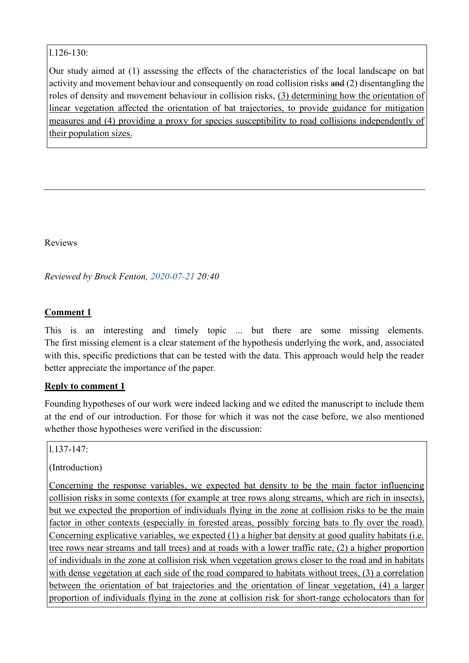#### l.126-130:

Our study aimed at (1) assessing the effects of the characteristics of the local landscape on bat activity and movement behaviour and consequently on road collision risks and (2) disentangling the roles of density and movement behaviour in collision risks, (3) determining how the orientation of linear vegetation affected the orientation of bat trajectories, to provide guidance for mitigation measures and (4) providing a proxy for species susceptibility to road collisions independently of their population sizes.

Reviews

*Reviewed by Brock Fenton, 2020-07-21 20:40*

### **Comment 1**

This is an interesting and timely topic ... but there are some missing elements. The first missing element is a clear statement of the hypothesis underlying the work, and, associated with this, specific predictions that can be tested with the data. This approach would help the reader better appreciate the importance of the paper.

### **Reply to comment 1**

Founding hypotheses of our work were indeed lacking and we edited the manuscript to include them at the end of our introduction. For those for which it was not the case before, we also mentioned whether those hypotheses were verified in the discussion:

l.137-147:

(Introduction)

Concerning the response variables, we expected bat density to be the main factor influencing collision risks in some contexts (for example at tree rows along streams, which are rich in insects), but we expected the proportion of individuals flying in the zone at collision risks to be the main factor in other contexts (especially in forested areas, possibly forcing bats to fly over the road). Concerning explicative variables, we expected (1) a higher bat density at good quality habitats (i.e. tree rows near streams and tall trees) and at roads with a lower traffic rate, (2) a higher proportion of individuals in the zone at collision risk when vegetation grows closer to the road and in habitats with dense vegetation at each side of the road compared to habitats without trees, (3) a correlation between the orientation of bat trajectories and the orientation of linear vegetation, (4) a larger proportion of individuals flying in the zone at collision risk for short-range echolocators than for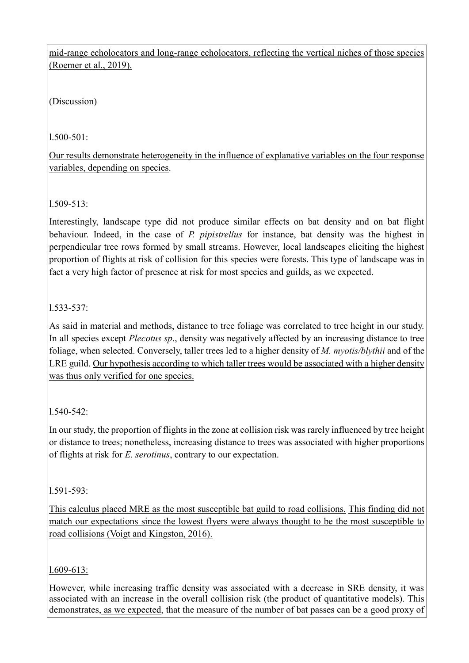mid-range echolocators and long-range echolocators, reflecting the vertical niches of those species (Roemer et al., 2019).

(Discussion)

l.500-501:

Our results demonstrate heterogeneity in the influence of explanative variables on the four response variables, depending on species.

l.509-513:

Interestingly, landscape type did not produce similar effects on bat density and on bat flight behaviour. Indeed, in the case of *P. pipistrellus* for instance, bat density was the highest in perpendicular tree rows formed by small streams. However, local landscapes eliciting the highest proportion of flights at risk of collision for this species were forests. This type of landscape was in fact a very high factor of presence at risk for most species and guilds, as we expected.

# l.533-537:

As said in material and methods, distance to tree foliage was correlated to tree height in our study. In all species except *Plecotus sp*., density was negatively affected by an increasing distance to tree foliage, when selected. Conversely, taller trees led to a higher density of *M. myotis/blythii* and of the LRE guild. Our hypothesis according to which taller trees would be associated with a higher density was thus only verified for one species.

# $1.540 - 542$ :

In our study, the proportion of flights in the zone at collision risk was rarely influenced by tree height or distance to trees; nonetheless, increasing distance to trees was associated with higher proportions of flights at risk for *E. serotinus*, contrary to our expectation.

## l.591-593:

This calculus placed MRE as the most susceptible bat guild to road collisions. This finding did not match our expectations since the lowest flyers were always thought to be the most susceptible to road collisions (Voigt and Kingston, 2016).

## l.609-613:

However, while increasing traffic density was associated with a decrease in SRE density, it was associated with an increase in the overall collision risk (the product of quantitative models). This demonstrates, as we expected, that the measure of the number of bat passes can be a good proxy of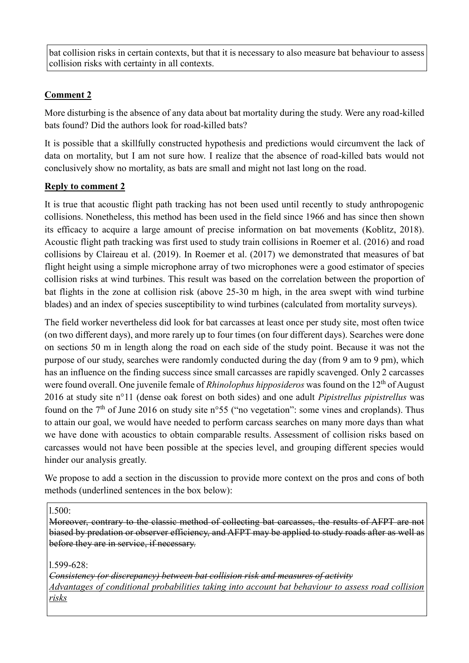bat collision risks in certain contexts, but that it is necessary to also measure bat behaviour to assess collision risks with certainty in all contexts.

# **Comment 2**

More disturbing is the absence of any data about bat mortality during the study. Were any road-killed bats found? Did the authors look for road-killed bats?

It is possible that a skillfully constructed hypothesis and predictions would circumvent the lack of data on mortality, but I am not sure how. I realize that the absence of road-killed bats would not conclusively show no mortality, as bats are small and might not last long on the road.

## **Reply to comment 2**

It is true that acoustic flight path tracking has not been used until recently to study anthropogenic collisions. Nonetheless, this method has been used in the field since 1966 and has since then shown its efficacy to acquire a large amount of precise information on bat movements (Koblitz, 2018). Acoustic flight path tracking was first used to study train collisions in Roemer et al. (2016) and road collisions by Claireau et al. (2019). In Roemer et al. (2017) we demonstrated that measures of bat flight height using a simple microphone array of two microphones were a good estimator of species collision risks at wind turbines. This result was based on the correlation between the proportion of bat flights in the zone at collision risk (above 25-30 m high, in the area swept with wind turbine blades) and an index of species susceptibility to wind turbines (calculated from mortality surveys).

The field worker nevertheless did look for bat carcasses at least once per study site, most often twice (on two different days), and more rarely up to four times (on four different days). Searches were done on sections 50 m in length along the road on each side of the study point. Because it was not the purpose of our study, searches were randomly conducted during the day (from 9 am to 9 pm), which has an influence on the finding success since small carcasses are rapidly scavenged. Only 2 carcasses were found overall. One juvenile female of *Rhinolophus hipposideros* was found on the 12<sup>th</sup> of August 2016 at study site n°11 (dense oak forest on both sides) and one adult *Pipistrellus pipistrellus* was found on the  $7<sup>th</sup>$  of June 2016 on study site n°55 ("no vegetation": some vines and croplands). Thus to attain our goal, we would have needed to perform carcass searches on many more days than what we have done with acoustics to obtain comparable results. Assessment of collision risks based on carcasses would not have been possible at the species level, and grouping different species would hinder our analysis greatly.

We propose to add a section in the discussion to provide more context on the pros and cons of both methods (underlined sentences in the box below):

l.500:

Moreover, contrary to the classic method of collecting bat carcasses, the results of AFPT are not biased by predation or observer efficiency, and AFPT may be applied to study roads after as well as before they are in service, if necessary.

l.599-628:

*Consistency (or discrepancy) between bat collision risk and measures of activity Advantages of conditional probabilities taking into account bat behaviour to assess road collision risks*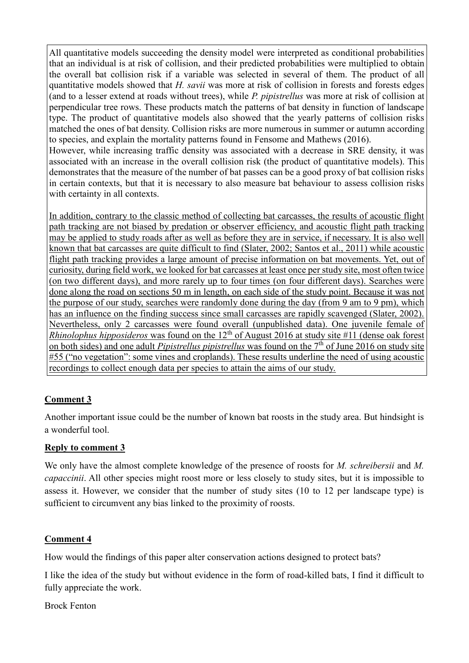All quantitative models succeeding the density model were interpreted as conditional probabilities that an individual is at risk of collision, and their predicted probabilities were multiplied to obtain the overall bat collision risk if a variable was selected in several of them. The product of all quantitative models showed that *H. savii* was more at risk of collision in forests and forests edges (and to a lesser extend at roads without trees), while *P. pipistrellus* was more at risk of collision at perpendicular tree rows. These products match the patterns of bat density in function of landscape type. The product of quantitative models also showed that the yearly patterns of collision risks matched the ones of bat density. Collision risks are more numerous in summer or autumn according to species, and explain the mortality patterns found in Fensome and Mathews (2016). However, while increasing traffic density was associated with a decrease in SRE density, it was

associated with an increase in the overall collision risk (the product of quantitative models). This demonstrates that the measure of the number of bat passes can be a good proxy of bat collision risks in certain contexts, but that it is necessary to also measure bat behaviour to assess collision risks with certainty in all contexts.

In addition, contrary to the classic method of collecting bat carcasses, the results of acoustic flight path tracking are not biased by predation or observer efficiency, and acoustic flight path tracking may be applied to study roads after as well as before they are in service, if necessary. It is also well known that bat carcasses are quite difficult to find (Slater, 2002; Santos et al., 2011) while acoustic flight path tracking provides a large amount of precise information on bat movements. Yet, out of curiosity, during field work, we looked for bat carcasses at least once per study site, most often twice (on two different days), and more rarely up to four times (on four different days). Searches were done along the road on sections 50 m in length, on each side of the study point. Because it was not the purpose of our study, searches were randomly done during the day (from 9 am to 9 pm), which has an influence on the finding success since small carcasses are rapidly scavenged (Slater, 2002). Nevertheless, only 2 carcasses were found overall (unpublished data). One juvenile female of *Rhinolophus hipposideros* was found on the  $12<sup>th</sup>$  of August 2016 at study site #11 (dense oak forest on both sides) and one adult *Pipistrellus pipistrellus* was found on the 7th of June 2016 on study site #55 ("no vegetation": some vines and croplands). These results underline the need of using acoustic recordings to collect enough data per species to attain the aims of our study.

## **Comment 3**

Another important issue could be the number of known bat roosts in the study area. But hindsight is a wonderful tool.

## **Reply to comment 3**

We only have the almost complete knowledge of the presence of roosts for *M. schreibersii* and *M. capaccinii*. All other species might roost more or less closely to study sites, but it is impossible to assess it. However, we consider that the number of study sites (10 to 12 per landscape type) is sufficient to circumvent any bias linked to the proximity of roosts.

## **Comment 4**

How would the findings of this paper alter conservation actions designed to protect bats?

I like the idea of the study but without evidence in the form of road-killed bats, I find it difficult to fully appreciate the work.

Brock Fenton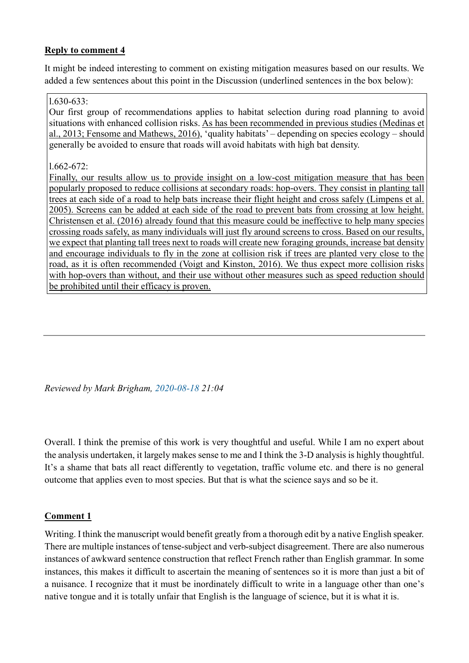### **Reply to comment 4**

It might be indeed interesting to comment on existing mitigation measures based on our results. We added a few sentences about this point in the Discussion (underlined sentences in the box below):

#### l.630-633:

Our first group of recommendations applies to habitat selection during road planning to avoid situations with enhanced collision risks. As has been recommended in previous studies (Medinas et al., 2013; Fensome and Mathews, 2016), 'quality habitats' – depending on species ecology – should generally be avoided to ensure that roads will avoid habitats with high bat density.

#### l.662-672:

Finally, our results allow us to provide insight on a low-cost mitigation measure that has been popularly proposed to reduce collisions at secondary roads: hop-overs. They consist in planting tall trees at each side of a road to help bats increase their flight height and cross safely (Limpens et al. 2005). Screens can be added at each side of the road to prevent bats from crossing at low height. Christensen et al. (2016) already found that this measure could be ineffective to help many species crossing roads safely, as many individuals will just fly around screens to cross. Based on our results, we expect that planting tall trees next to roads will create new foraging grounds, increase bat density and encourage individuals to fly in the zone at collision risk if trees are planted very close to the road, as it is often recommended (Voigt and Kinston, 2016). We thus expect more collision risks with hop-overs than without, and their use without other measures such as speed reduction should be prohibited until their efficacy is proven.

*Reviewed by Mark Brigham, 2020-08-18 21:04*

Overall. I think the premise of this work is very thoughtful and useful. While I am no expert about the analysis undertaken, it largely makes sense to me and I think the 3-D analysis is highly thoughtful. It's a shame that bats all react differently to vegetation, traffic volume etc. and there is no general outcome that applies even to most species. But that is what the science says and so be it.

### **Comment 1**

Writing. I think the manuscript would benefit greatly from a thorough edit by a native English speaker. There are multiple instances of tense-subject and verb-subject disagreement. There are also numerous instances of awkward sentence construction that reflect French rather than English grammar. In some instances, this makes it difficult to ascertain the meaning of sentences so it is more than just a bit of a nuisance. I recognize that it must be inordinately difficult to write in a language other than one's native tongue and it is totally unfair that English is the language of science, but it is what it is.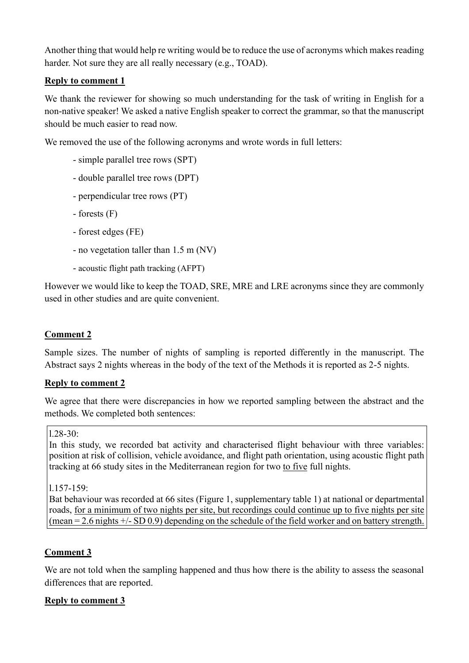Another thing that would help re writing would be to reduce the use of acronyms which makes reading harder. Not sure they are all really necessary (e.g., TOAD).

## **Reply to comment 1**

We thank the reviewer for showing so much understanding for the task of writing in English for a non-native speaker! We asked a native English speaker to correct the grammar, so that the manuscript should be much easier to read now.

We removed the use of the following acronyms and wrote words in full letters:

- simple parallel tree rows (SPT)
- double parallel tree rows (DPT)
- perpendicular tree rows (PT)
- forests (F)
- forest edges (FE)
- no vegetation taller than 1.5 m (NV)
- acoustic flight path tracking (AFPT)

However we would like to keep the TOAD, SRE, MRE and LRE acronyms since they are commonly used in other studies and are quite convenient.

# **Comment 2**

Sample sizes. The number of nights of sampling is reported differently in the manuscript. The Abstract says 2 nights whereas in the body of the text of the Methods it is reported as 2-5 nights.

## **Reply to comment 2**

We agree that there were discrepancies in how we reported sampling between the abstract and the methods. We completed both sentences:

### $1.28 - 30:$

In this study, we recorded bat activity and characterised flight behaviour with three variables: position at risk of collision, vehicle avoidance, and flight path orientation, using acoustic flight path tracking at 66 study sites in the Mediterranean region for two to five full nights.

l.157-159:

Bat behaviour was recorded at 66 sites (Figure 1, supplementary table 1) at national or departmental roads, for a minimum of two nights per site, but recordings could continue up to five nights per site (mean =  $2.6$  nights  $+/-$  SD 0.9) depending on the schedule of the field worker and on battery strength.

## **Comment 3**

We are not told when the sampling happened and thus how there is the ability to assess the seasonal differences that are reported.

## **Reply to comment 3**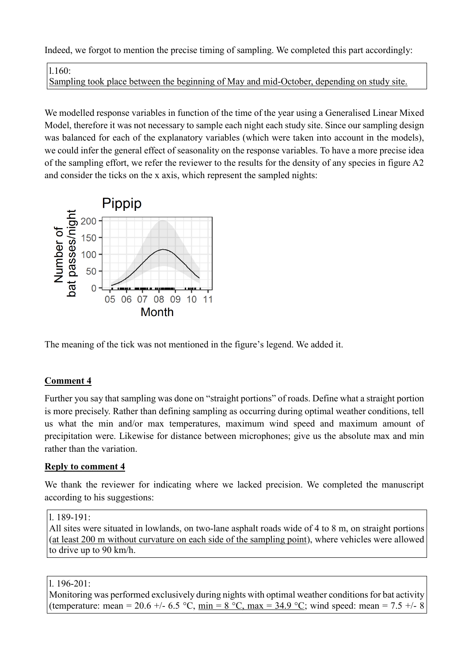Indeed, we forgot to mention the precise timing of sampling. We completed this part accordingly:

l.160:

Sampling took place between the beginning of May and mid-October, depending on study site.

We modelled response variables in function of the time of the year using a Generalised Linear Mixed Model, therefore it was not necessary to sample each night each study site. Since our sampling design was balanced for each of the explanatory variables (which were taken into account in the models), we could infer the general effect of seasonality on the response variables. To have a more precise idea of the sampling effort, we refer the reviewer to the results for the density of any species in figure A2 and consider the ticks on the x axis, which represent the sampled nights:



The meaning of the tick was not mentioned in the figure's legend. We added it.

## **Comment 4**

Further you say that sampling was done on "straight portions" of roads. Define what a straight portion is more precisely. Rather than defining sampling as occurring during optimal weather conditions, tell us what the min and/or max temperatures, maximum wind speed and maximum amount of precipitation were. Likewise for distance between microphones; give us the absolute max and min rather than the variation.

### **Reply to comment 4**

We thank the reviewer for indicating where we lacked precision. We completed the manuscript according to his suggestions:

All sites were situated in lowlands, on two-lane asphalt roads wide of 4 to 8 m, on straight portions (at least 200 m without curvature on each side of the sampling point), where vehicles were allowed to drive up to 90 km/h.

l. 196-201:

Monitoring was performed exclusively during nights with optimal weather conditions for bat activity (temperature: mean = 20.6 +/- 6.5 °C,  $\min = 8$  °C,  $\max = 34.9$  °C; wind speed: mean = 7.5 +/- 8

l. 189-191: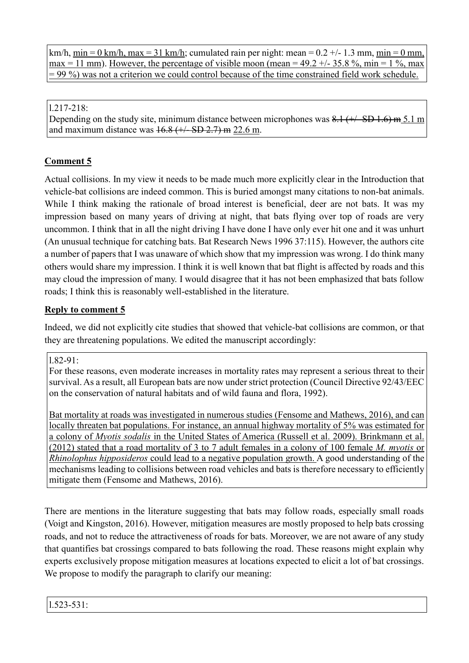km/h, min = 0 km/h, max = 31 km/h; cumulated rain per night: mean =  $0.2 +/- 1.3$  mm, min = 0 mm, max = 11 mm). However, the percentage of visible moon (mean =  $49.2 + (-35.8 \%$ , min =  $1 \%$ , max  $= 99\%$ ) was not a criterion we could control because of the time constrained field work schedule.

l.217-218:

Depending on the study site, minimum distance between microphones was  $8.1$  ( $\pm$ / $\pm$ SD 1.6) m 5.1 m and maximum distance was  $16.8$  ( $\pm$ /– SD 2.7) m 22.6 m.

# **Comment 5**

Actual collisions. In my view it needs to be made much more explicitly clear in the Introduction that vehicle-bat collisions are indeed common. This is buried amongst many citations to non-bat animals. While I think making the rationale of broad interest is beneficial, deer are not bats. It was my impression based on many years of driving at night, that bats flying over top of roads are very uncommon. I think that in aIl the night driving I have done I have only ever hit one and it was unhurt (An unusual technique for catching bats. Bat Research News 1996 37:115). However, the authors cite a number of papers that I was unaware of which show that my impression was wrong. I do think many others would share my impression. I think it is well known that bat flight is affected by roads and this may cloud the impression of many. I would disagree that it has not been emphasized that bats follow roads; I think this is reasonably well-established in the literature.

# **Reply to comment 5**

Indeed, we did not explicitly cite studies that showed that vehicle-bat collisions are common, or that they are threatening populations. We edited the manuscript accordingly:

## l.82-91:

For these reasons, even moderate increases in mortality rates may represent a serious threat to their survival. As a result, all European bats are now under strict protection (Council Directive 92/43/EEC on the conservation of natural habitats and of wild fauna and flora, 1992).

Bat mortality at roads was investigated in numerous studies (Fensome and Mathews, 2016), and can locally threaten bat populations. For instance, an annual highway mortality of 5% was estimated for a colony of *Myotis sodalis* in the United States of America (Russell et al. 2009). Brinkmann et al. (2012) stated that a road mortality of 3 to 7 adult females in a colony of 100 female *M. myotis* or *Rhinolophus hipposideros* could lead to a negative population growth. A good understanding of the mechanisms leading to collisions between road vehicles and bats is therefore necessary to efficiently mitigate them (Fensome and Mathews, 2016).

There are mentions in the literature suggesting that bats may follow roads, especially small roads (Voigt and Kingston, 2016). However, mitigation measures are mostly proposed to help bats crossing roads, and not to reduce the attractiveness of roads for bats. Moreover, we are not aware of any study that quantifies bat crossings compared to bats following the road. These reasons might explain why experts exclusively propose mitigation measures at locations expected to elicit a lot of bat crossings. We propose to modify the paragraph to clarify our meaning: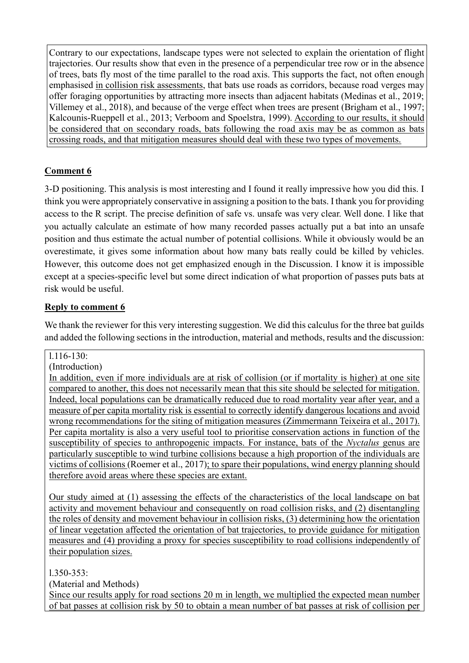Contrary to our expectations, landscape types were not selected to explain the orientation of flight trajectories. Our results show that even in the presence of a perpendicular tree row or in the absence of trees, bats fly most of the time parallel to the road axis. This supports the fact, not often enough emphasised in collision risk assessments, that bats use roads as corridors, because road verges may offer foraging opportunities by attracting more insects than adjacent habitats (Medinas et al., 2019; Villemey et al., 2018), and because of the verge effect when trees are present (Brigham et al., 1997; Kalcounis-Rueppell et al., 2013; Verboom and Spoelstra, 1999). According to our results, it should be considered that on secondary roads, bats following the road axis may be as common as bats crossing roads, and that mitigation measures should deal with these two types of movements.

# **Comment 6**

3-D positioning. This analysis is most interesting and I found it really impressive how you did this. I think you were appropriately conservative in assigning a position to the bats. I thank you for providing access to the R script. The precise definition of safe vs. unsafe was very clear. Well done. I like that you actually calculate an estimate of how many recorded passes actually put a bat into an unsafe position and thus estimate the actual number of potential collisions. While it obviously would be an overestimate, it gives some information about how many bats really could be killed by vehicles. However, this outcome does not get emphasized enough in the Discussion. I know it is impossible except at a species-specific level but some direct indication of what proportion of passes puts bats at risk would be useful.

# **Reply to comment 6**

We thank the reviewer for this very interesting suggestion. We did this calculus for the three bat guilds and added the following sections in the introduction, material and methods, results and the discussion:

### l.116-130:

(Introduction)

In addition, even if more individuals are at risk of collision (or if mortality is higher) at one site compared to another, this does not necessarily mean that this site should be selected for mitigation. Indeed, local populations can be dramatically reduced due to road mortality year after year, and a measure of per capita mortality risk is essential to correctly identify dangerous locations and avoid wrong recommendations for the siting of mitigation measures (Zimmermann Teixeira et al., 2017). Per capita mortality is also a very useful tool to prioritise conservation actions in function of the susceptibility of species to anthropogenic impacts. For instance, bats of the *Nyctalus* genus are particularly susceptible to wind turbine collisions because a high proportion of the individuals are victims of collisions (Roemer et al., 2017); to spare their populations, wind energy planning should therefore avoid areas where these species are extant.

Our study aimed at (1) assessing the effects of the characteristics of the local landscape on bat activity and movement behaviour and consequently on road collision risks, and (2) disentangling the roles of density and movement behaviour in collision risks, (3) determining how the orientation of linear vegetation affected the orientation of bat trajectories, to provide guidance for mitigation measures and (4) providing a proxy for species susceptibility to road collisions independently of their population sizes.

l.350-353:

(Material and Methods)

Since our results apply for road sections 20 m in length, we multiplied the expected mean number of bat passes at collision risk by 50 to obtain a mean number of bat passes at risk of collision per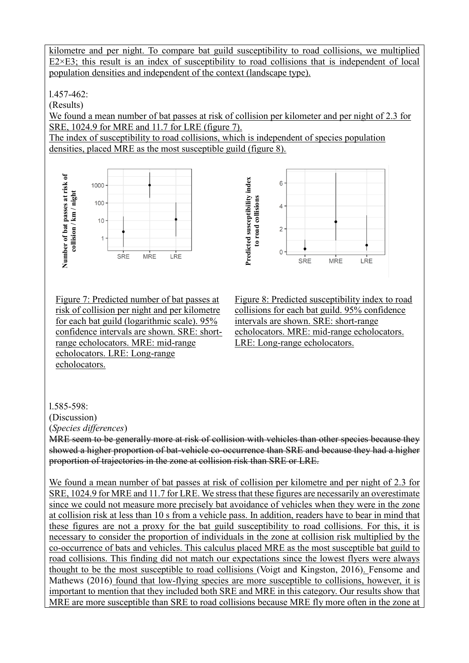kilometre and per night. To compare bat guild susceptibility to road collisions, we multiplied  $E2 \times E3$ ; this result is an index of susceptibility to road collisions that is independent of local population densities and independent of the context (landscape type).

l.457-462:

(Results)

We found a mean number of bat passes at risk of collision per kilometer and per night of 2.3 for SRE, 1024.9 for MRE and 11.7 for LRE (figure 7).

The index of susceptibility to road collisions, which is independent of species population densities, placed MRE as the most susceptible guild (figure 8).



Figure 7: Predicted number of bat passes at risk of collision per night and per kilometre for each bat guild (logarithmic scale). 95% confidence intervals are shown. SRE: shortrange echolocators. MRE: mid-range echolocators. LRE: Long-range echolocators.



Figure 8: Predicted susceptibility index to road collisions for each bat guild. 95% confidence intervals are shown. SRE: short-range echolocators. MRE: mid-range echolocators. LRE: Long-range echolocators.

l.585-598:

(Discussion)

(*Species differences*)

MRE seem to be generally more at risk of collision with vehicles than other species because they showed a higher proportion of bat-vehicle co-occurrence than SRE and because they had a higher proportion of trajectories in the zone at collision risk than SRE or LRE.

We found a mean number of bat passes at risk of collision per kilometre and per night of 2.3 for SRE, 1024.9 for MRE and 11.7 for LRE. We stress that these figures are necessarily an overestimate since we could not measure more precisely bat avoidance of vehicles when they were in the zone at collision risk at less than 10 s from a vehicle pass. In addition, readers have to bear in mind that these figures are not a proxy for the bat guild susceptibility to road collisions. For this, it is necessary to consider the proportion of individuals in the zone at collision risk multiplied by the co-occurrence of bats and vehicles. This calculus placed MRE as the most susceptible bat guild to road collisions. This finding did not match our expectations since the lowest flyers were always thought to be the most susceptible to road collisions (Voigt and Kingston, 2016). Fensome and Mathews (2016) found that low-flying species are more susceptible to collisions, however, it is important to mention that they included both SRE and MRE in this category. Our results show that MRE are more susceptible than SRE to road collisions because MRE fly more often in the zone at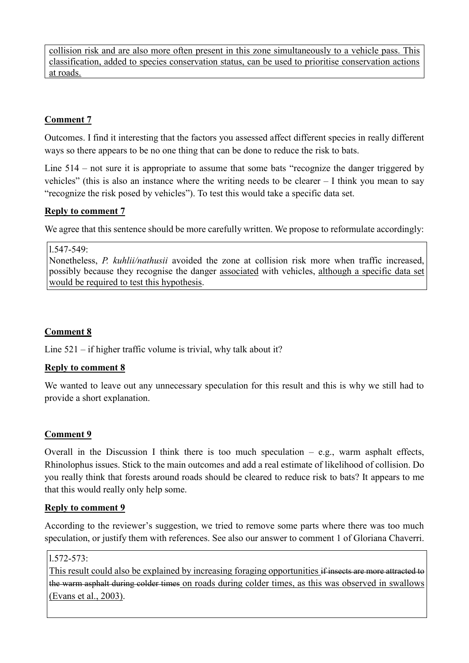collision risk and are also more often present in this zone simultaneously to a vehicle pass. This classification, added to species conservation status, can be used to prioritise conservation actions at roads.

## **Comment 7**

Outcomes. I find it interesting that the factors you assessed affect different species in really different ways so there appears to be no one thing that can be done to reduce the risk to bats.

Line 514 – not sure it is appropriate to assume that some bats "recognize the danger triggered by vehicles" (this is also an instance where the writing needs to be clearer – I think you mean to say "recognize the risk posed by vehicles"). To test this would take a specific data set.

#### **Reply to comment 7**

We agree that this sentence should be more carefully written. We propose to reformulate accordingly:

#### l.547-549:

Nonetheless, *P. kuhlii/nathusii* avoided the zone at collision risk more when traffic increased, possibly because they recognise the danger associated with vehicles, although a specific data set would be required to test this hypothesis.

### **Comment 8**

Line 521 – if higher traffic volume is trivial, why talk about it?

### **Reply to comment 8**

We wanted to leave out any unnecessary speculation for this result and this is why we still had to provide a short explanation.

### **Comment 9**

Overall in the Discussion I think there is too much speculation  $-$  e.g., warm asphalt effects, Rhinolophus issues. Stick to the main outcomes and add a real estimate of likelihood of collision. Do you really think that forests around roads should be cleared to reduce risk to bats? It appears to me that this would really only help some.

#### **Reply to comment 9**

According to the reviewer's suggestion, we tried to remove some parts where there was too much speculation, or justify them with references. See also our answer to comment 1 of Gloriana Chaverri.

#### l.572-573:

This result could also be explained by increasing foraging opportunities if insects are more attracted to the warm asphalt during colder times on roads during colder times, as this was observed in swallows (Evans et al., 2003).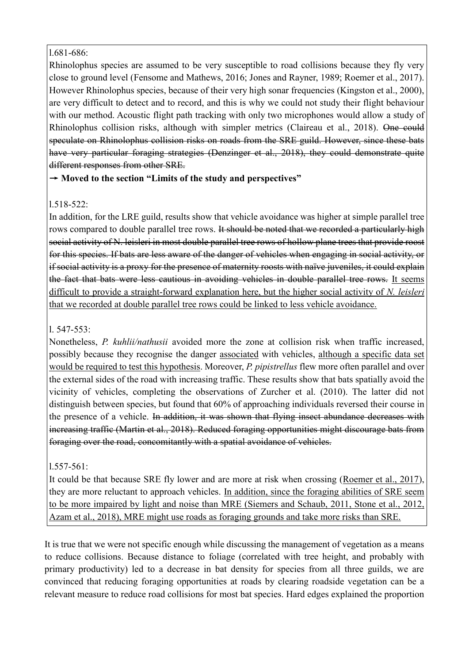### l.681-686:

Rhinolophus species are assumed to be very susceptible to road collisions because they fly very close to ground level (Fensome and Mathews, 2016; Jones and Rayner, 1989; Roemer et al., 2017). However Rhinolophus species, because of their very high sonar frequencies (Kingston et al., 2000), are very difficult to detect and to record, and this is why we could not study their flight behaviour with our method. Acoustic flight path tracking with only two microphones would allow a study of Rhinolophus collision risks, although with simpler metrics (Claireau et al., 2018). One could speculate on Rhinolophus collision risks on roads from the SRE guild. However, since these bats have very particular foraging strategies (Denzinger et al., 2018), they could demonstrate quite different responses from other SRE.

## → **Moved to the section "Limits of the study and perspectives"**

## l.518-522:

In addition, for the LRE guild, results show that vehicle avoidance was higher at simple parallel tree rows compared to double parallel tree rows. It should be noted that we recorded a particularly high social activity of N. leisleri in most double parallel tree rows of hollow plane trees that provide roost for this species. If bats are less aware of the danger of vehicles when engaging in social activity, or if social activity is a proxy for the presence of maternity roosts with naïve juveniles, it could explain the fact that bats were less cautious in avoiding vehicles in double parallel tree rows. It seems difficult to provide a straight-forward explanation here, but the higher social activity of *N. leisleri* that we recorded at double parallel tree rows could be linked to less vehicle avoidance.

## l. 547-553:

Nonetheless, *P. kuhlii/nathusii* avoided more the zone at collision risk when traffic increased, possibly because they recognise the danger associated with vehicles, although a specific data set would be required to test this hypothesis. Moreover, *P. pipistrellus* flew more often parallel and over the external sides of the road with increasing traffic. These results show that bats spatially avoid the vicinity of vehicles, completing the observations of Zurcher et al. (2010). The latter did not distinguish between species, but found that 60% of approaching individuals reversed their course in the presence of a vehicle. In addition, it was shown that flying insect abundance decreases with increasing traffic (Martin et al., 2018). Reduced foraging opportunities might discourage bats from foraging over the road, concomitantly with a spatial avoidance of vehicles.

### l.557-561:

It could be that because SRE fly lower and are more at risk when crossing (Roemer et al., 2017), they are more reluctant to approach vehicles. In addition, since the foraging abilities of SRE seem to be more impaired by light and noise than MRE (Siemers and Schaub, 2011, Stone et al., 2012, Azam et al., 2018), MRE might use roads as foraging grounds and take more risks than SRE.

It is true that we were not specific enough while discussing the management of vegetation as a means to reduce collisions. Because distance to foliage (correlated with tree height, and probably with primary productivity) led to a decrease in bat density for species from all three guilds, we are convinced that reducing foraging opportunities at roads by clearing roadside vegetation can be a relevant measure to reduce road collisions for most bat species. Hard edges explained the proportion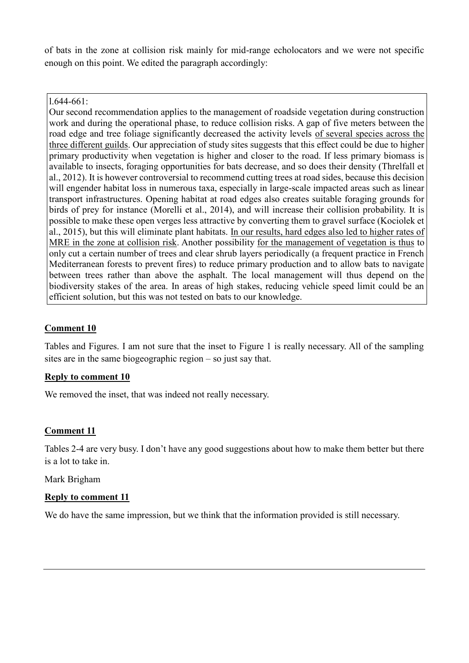of bats in the zone at collision risk mainly for mid-range echolocators and we were not specific enough on this point. We edited the paragraph accordingly:

#### l.644-661:

Our second recommendation applies to the management of roadside vegetation during construction work and during the operational phase, to reduce collision risks. A gap of five meters between the road edge and tree foliage significantly decreased the activity levels of several species across the three different guilds. Our appreciation of study sites suggests that this effect could be due to higher primary productivity when vegetation is higher and closer to the road. If less primary biomass is available to insects, foraging opportunities for bats decrease, and so does their density (Threlfall et al., 2012). It is however controversial to recommend cutting trees at road sides, because this decision will engender habitat loss in numerous taxa, especially in large-scale impacted areas such as linear transport infrastructures. Opening habitat at road edges also creates suitable foraging grounds for birds of prey for instance (Morelli et al., 2014), and will increase their collision probability. It is possible to make these open verges less attractive by converting them to gravel surface (Kociolek et al., 2015), but this will eliminate plant habitats. In our results, hard edges also led to higher rates of MRE in the zone at collision risk. Another possibility for the management of vegetation is thus to only cut a certain number of trees and clear shrub layers periodically (a frequent practice in French Mediterranean forests to prevent fires) to reduce primary production and to allow bats to navigate between trees rather than above the asphalt. The local management will thus depend on the biodiversity stakes of the area. In areas of high stakes, reducing vehicle speed limit could be an efficient solution, but this was not tested on bats to our knowledge.

## **Comment 10**

Tables and Figures. I am not sure that the inset to Figure 1 is really necessary. All of the sampling sites are in the same biogeographic region – so just say that.

### **Reply to comment 10**

We removed the inset, that was indeed not really necessary.

### **Comment 11**

Tables 2-4 are very busy. I don't have any good suggestions about how to make them better but there is a lot to take in.

Mark Brigham

### **Reply to comment 11**

We do have the same impression, but we think that the information provided is still necessary.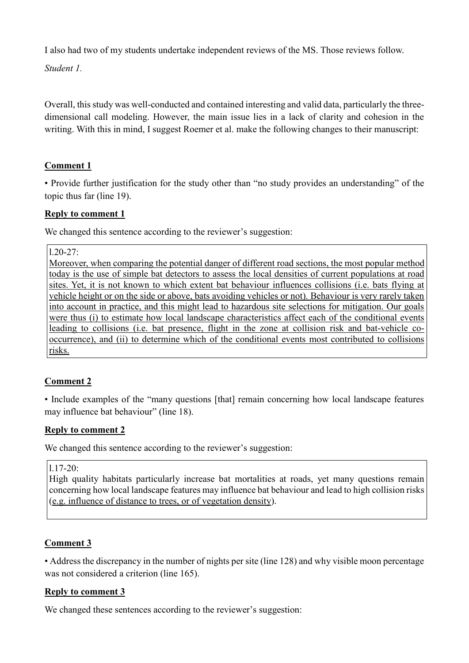I also had two of my students undertake independent reviews of the MS. Those reviews follow.

*Student 1.*

Overall, this study was well-conducted and contained interesting and valid data, particularly the threedimensional call modeling. However, the main issue lies in a lack of clarity and cohesion in the writing. With this in mind, I suggest Roemer et al. make the following changes to their manuscript:

# **Comment 1**

• Provide further justification for the study other than "no study provides an understanding" of the topic thus far (line 19).

## **Reply to comment 1**

We changed this sentence according to the reviewer's suggestion:

l.20-27:

Moreover, when comparing the potential danger of different road sections, the most popular method today is the use of simple bat detectors to assess the local densities of current populations at road sites. Yet, it is not known to which extent bat behaviour influences collisions (i.e. bats flying at vehicle height or on the side or above, bats avoiding vehicles or not). Behaviour is very rarely taken into account in practice, and this might lead to hazardous site selections for mitigation. Our goals were thus (i) to estimate how local landscape characteristics affect each of the conditional events leading to collisions (i.e. bat presence, flight in the zone at collision risk and bat-vehicle cooccurrence), and (ii) to determine which of the conditional events most contributed to collisions risks.

## **Comment 2**

• Include examples of the "many questions [that] remain concerning how local landscape features may influence bat behaviour" (line 18).

## **Reply to comment 2**

We changed this sentence according to the reviewer's suggestion:

### l.17-20:

High quality habitats particularly increase bat mortalities at roads, yet many questions remain concerning how local landscape features may influence bat behaviour and lead to high collision risks (e.g. influence of distance to trees, or of vegetation density).

## **Comment 3**

• Address the discrepancy in the number of nights per site (line 128) and why visible moon percentage was not considered a criterion (line 165).

## **Reply to comment 3**

We changed these sentences according to the reviewer's suggestion: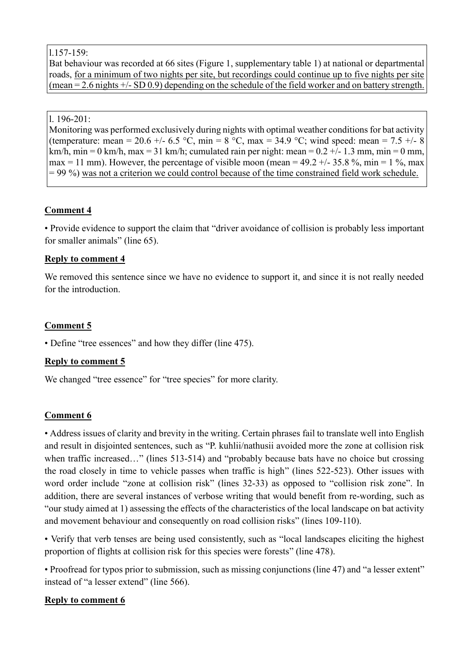#### l.157-159:

Bat behaviour was recorded at 66 sites (Figure 1, supplementary table 1) at national or departmental roads, for a minimum of two nights per site, but recordings could continue up to five nights per site (mean = 2.6 nights +/- SD 0.9) depending on the schedule of the field worker and on battery strength.

#### l. 196-201:

Monitoring was performed exclusively during nights with optimal weather conditions for bat activity (temperature: mean = 20.6 +/- 6.5 °C, min = 8 °C, max = 34.9 °C; wind speed: mean = 7.5 +/- 8 km/h, min = 0 km/h, max = 31 km/h; cumulated rain per night: mean =  $0.2 +/- 1.3$  mm, min = 0 mm, max = 11 mm). However, the percentage of visible moon (mean =  $49.2 +/-35.8$ %, min =  $1\%$ , max  $= 99\%$ ) was not a criterion we could control because of the time constrained field work schedule.

## **Comment 4**

• Provide evidence to support the claim that "driver avoidance of collision is probably less important for smaller animals" (line 65).

#### **Reply to comment 4**

We removed this sentence since we have no evidence to support it, and since it is not really needed for the introduction.

### **Comment 5**

• Define "tree essences" and how they differ (line 475).

### **Reply to comment 5**

We changed "tree essence" for "tree species" for more clarity.

### **Comment 6**

• Address issues of clarity and brevity in the writing. Certain phrases fail to translate well into English and result in disjointed sentences, such as "P. kuhlii/nathusii avoided more the zone at collision risk when traffic increased..." (lines 513-514) and "probably because bats have no choice but crossing the road closely in time to vehicle passes when traffic is high" (lines 522-523). Other issues with word order include "zone at collision risk" (lines 32-33) as opposed to "collision risk zone". In addition, there are several instances of verbose writing that would benefit from re-wording, such as "our study aimed at 1) assessing the effects of the characteristics of the local landscape on bat activity and movement behaviour and consequently on road collision risks" (lines 109-110).

• Verify that verb tenses are being used consistently, such as "local landscapes eliciting the highest proportion of flights at collision risk for this species were forests" (line 478).

• Proofread for typos prior to submission, such as missing conjunctions (line 47) and "a lesser extent" instead of "a lesser extend" (line 566).

#### **Reply to comment 6**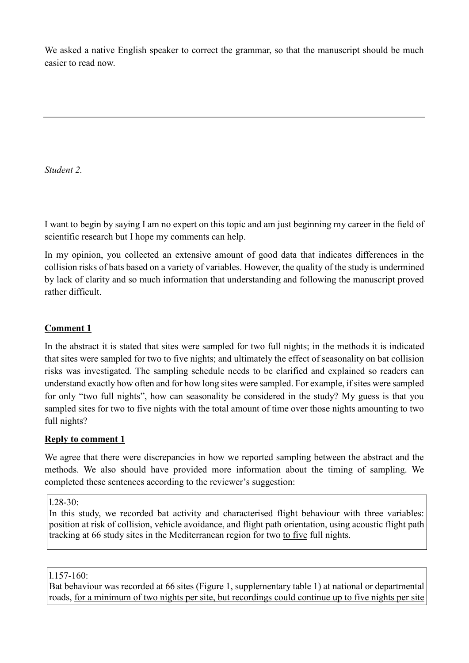We asked a native English speaker to correct the grammar, so that the manuscript should be much easier to read now.

*Student 2.*

I want to begin by saying I am no expert on this topic and am just beginning my career in the field of scientific research but I hope my comments can help.

In my opinion, you collected an extensive amount of good data that indicates differences in the collision risks of bats based on a variety of variables. However, the quality of the study is undermined by lack of clarity and so much information that understanding and following the manuscript proved rather difficult.

# **Comment 1**

In the abstract it is stated that sites were sampled for two full nights; in the methods it is indicated that sites were sampled for two to five nights; and ultimately the effect of seasonality on bat collision risks was investigated. The sampling schedule needs to be clarified and explained so readers can understand exactly how often and for how long sites were sampled. For example, if sites were sampled for only "two full nights", how can seasonality be considered in the study? My guess is that you sampled sites for two to five nights with the total amount of time over those nights amounting to two full nights?

## **Reply to comment 1**

We agree that there were discrepancies in how we reported sampling between the abstract and the methods. We also should have provided more information about the timing of sampling. We completed these sentences according to the reviewer's suggestion:

 $1.28 - 30:$ 

In this study, we recorded bat activity and characterised flight behaviour with three variables: position at risk of collision, vehicle avoidance, and flight path orientation, using acoustic flight path tracking at 66 study sites in the Mediterranean region for two to five full nights.

### l.157-160:

Bat behaviour was recorded at 66 sites (Figure 1, supplementary table 1) at national or departmental roads, for a minimum of two nights per site, but recordings could continue up to five nights per site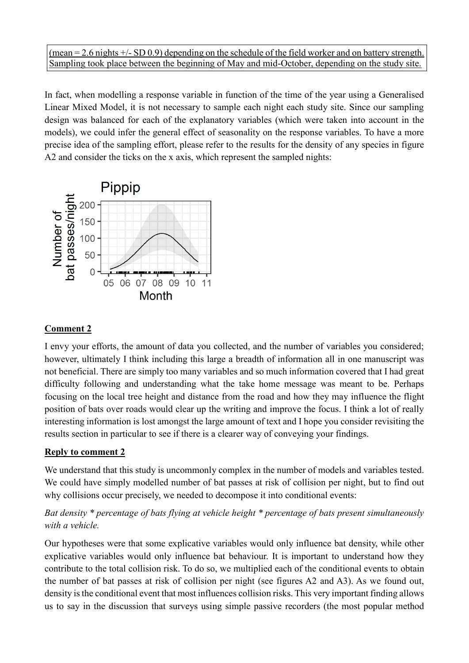(mean  $= 2.6$  nights  $+/-$  SD 0.9) depending on the schedule of the field worker and on battery strength. Sampling took place between the beginning of May and mid-October, depending on the study site.

In fact, when modelling a response variable in function of the time of the year using a Generalised Linear Mixed Model, it is not necessary to sample each night each study site. Since our sampling design was balanced for each of the explanatory variables (which were taken into account in the models), we could infer the general effect of seasonality on the response variables. To have a more precise idea of the sampling effort, please refer to the results for the density of any species in figure A2 and consider the ticks on the x axis, which represent the sampled nights:



### **Comment 2**

I envy your efforts, the amount of data you collected, and the number of variables you considered; however, ultimately I think including this large a breadth of information all in one manuscript was not beneficial. There are simply too many variables and so much information covered that I had great difficulty following and understanding what the take home message was meant to be. Perhaps focusing on the local tree height and distance from the road and how they may influence the flight position of bats over roads would clear up the writing and improve the focus. I think a lot of really interesting information is lost amongst the large amount of text and I hope you consider revisiting the results section in particular to see if there is a clearer way of conveying your findings.

### **Reply to comment 2**

We understand that this study is uncommonly complex in the number of models and variables tested. We could have simply modelled number of bat passes at risk of collision per night, but to find out why collisions occur precisely, we needed to decompose it into conditional events:

## *Bat density \* percentage of bats flying at vehicle height \* percentage of bats present simultaneously with a vehicle.*

Our hypotheses were that some explicative variables would only influence bat density, while other explicative variables would only influence bat behaviour. It is important to understand how they contribute to the total collision risk. To do so, we multiplied each of the conditional events to obtain the number of bat passes at risk of collision per night (see figures A2 and A3). As we found out, density is the conditional event that most influences collision risks. This very important finding allows us to say in the discussion that surveys using simple passive recorders (the most popular method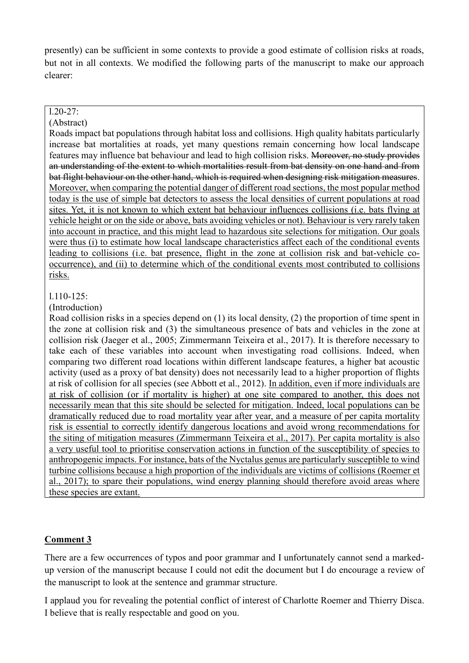presently) can be sufficient in some contexts to provide a good estimate of collision risks at roads, but not in all contexts. We modified the following parts of the manuscript to make our approach clearer:

#### $1.20 - 27:$

#### (Abstract)

Roads impact bat populations through habitat loss and collisions. High quality habitats particularly increase bat mortalities at roads, yet many questions remain concerning how local landscape features may influence bat behaviour and lead to high collision risks. Moreover, no study provides an understanding of the extent to which mortalities result from bat density on one hand and from bat flight behaviour on the other hand, which is required when designing risk mitigation measures. Moreover, when comparing the potential danger of different road sections, the most popular method today is the use of simple bat detectors to assess the local densities of current populations at road sites. Yet, it is not known to which extent bat behaviour influences collisions (i.e. bats flying at vehicle height or on the side or above, bats avoiding vehicles or not). Behaviour is very rarely taken into account in practice, and this might lead to hazardous site selections for mitigation. Our goals were thus (i) to estimate how local landscape characteristics affect each of the conditional events leading to collisions (i.e. bat presence, flight in the zone at collision risk and bat-vehicle cooccurrence), and (ii) to determine which of the conditional events most contributed to collisions risks.

#### l.110-125:

#### (Introduction)

Road collision risks in a species depend on (1) its local density, (2) the proportion of time spent in the zone at collision risk and (3) the simultaneous presence of bats and vehicles in the zone at collision risk (Jaeger et al., 2005; Zimmermann Teixeira et al., 2017). It is therefore necessary to take each of these variables into account when investigating road collisions. Indeed, when comparing two different road locations within different landscape features, a higher bat acoustic activity (used as a proxy of bat density) does not necessarily lead to a higher proportion of flights at risk of collision for all species (see Abbott et al., 2012). In addition, even if more individuals are at risk of collision (or if mortality is higher) at one site compared to another, this does not necessarily mean that this site should be selected for mitigation. Indeed, local populations can be dramatically reduced due to road mortality year after year, and a measure of per capita mortality risk is essential to correctly identify dangerous locations and avoid wrong recommendations for the siting of mitigation measures (Zimmermann Teixeira et al., 2017). Per capita mortality is also a very useful tool to prioritise conservation actions in function of the susceptibility of species to anthropogenic impacts. For instance, bats of the Nyctalus genus are particularly susceptible to wind turbine collisions because a high proportion of the individuals are victims of collisions (Roemer et al., 2017); to spare their populations, wind energy planning should therefore avoid areas where these species are extant.

### **Comment 3**

There are a few occurrences of typos and poor grammar and I unfortunately cannot send a markedup version of the manuscript because I could not edit the document but I do encourage a review of the manuscript to look at the sentence and grammar structure.

I applaud you for revealing the potential conflict of interest of Charlotte Roemer and Thierry Disca. I believe that is really respectable and good on you.